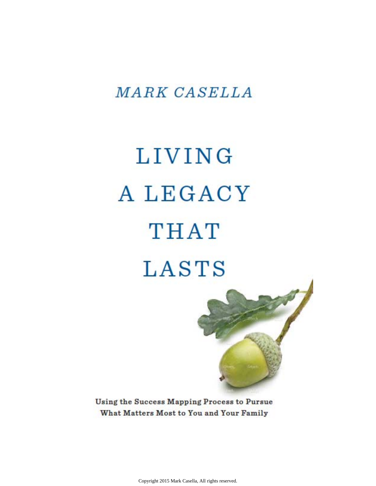# MARK CASELLA

# **LIVING** A LEGACY **THAT LASTS**



Using the Success Mapping Process to Pursue What Matters Most to You and Your Family

Copyright 2015 Mark Casella, All rights reserved.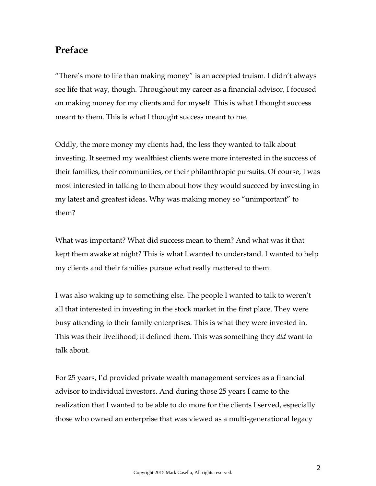### **Preface**

"There's more to life than making money" is an accepted truism. I didn't always see life that way, though. Throughout my career as a financial advisor, I focused on making money for my clients and for myself. This is what I thought success meant to them. This is what I thought success meant to me.

Oddly, the more money my clients had, the less they wanted to talk about investing. It seemed my wealthiest clients were more interested in the success of their families, their communities, or their philanthropic pursuits. Of course, I was most interested in talking to them about how they would succeed by investing in my latest and greatest ideas. Why was making money so "unimportant" to them?

What was important? What did success mean to them? And what was it that kept them awake at night? This is what I wanted to understand. I wanted to help my clients and their families pursue what really mattered to them.

I was also waking up to something else. The people I wanted to talk to weren't all that interested in investing in the stock market in the first place. They were busy attending to their family enterprises. This is what they were invested in. This was their livelihood; it defined them. This was something they *did* want to talk about.

For 25 years, I'd provided private wealth management services as a financial advisor to individual investors. And during those 25 years I came to the realization that I wanted to be able to do more for the clients I served, especially those who owned an enterprise that was viewed as a multi-generational legacy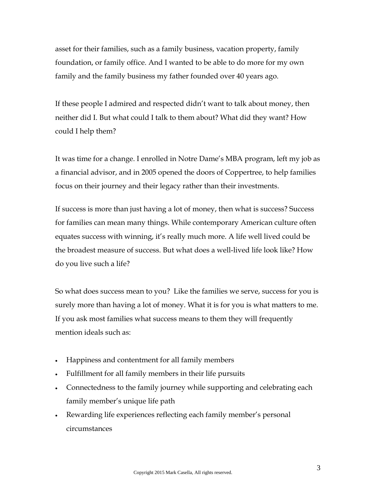asset for their families, such as a family business, vacation property, family foundation, or family office. And I wanted to be able to do more for my own family and the family business my father founded over 40 years ago.

If these people I admired and respected didn't want to talk about money, then neither did I. But what could I talk to them about? What did they want? How could I help them?

It was time for a change. I enrolled in Notre Dame's MBA program, left my job as a financial advisor, and in 2005 opened the doors of Coppertree, to help families focus on their journey and their legacy rather than their investments.

If success is more than just having a lot of money, then what is success? Success for families can mean many things. While contemporary American culture often equates success with winning, it's really much more. A life well lived could be the broadest measure of success. But what does a well-lived life look like? How do you live such a life?

So what does success mean to you? Like the families we serve, success for you is surely more than having a lot of money. What it is for you is what matters to me. If you ask most families what success means to them they will frequently mention ideals such as:

- Happiness and contentment for all family members
- Fulfillment for all family members in their life pursuits
- Connectedness to the family journey while supporting and celebrating each family member's unique life path
- Rewarding life experiences reflecting each family member's personal circumstances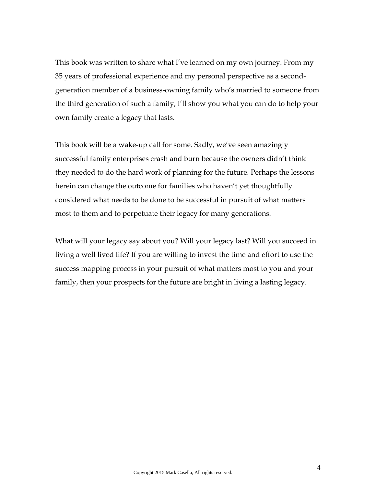This book was written to share what I've learned on my own journey. From my 35 years of professional experience and my personal perspective as a secondgeneration member of a business-owning family who's married to someone from the third generation of such a family, I'll show you what you can do to help your own family create a legacy that lasts.

This book will be a wake-up call for some. Sadly, we've seen amazingly successful family enterprises crash and burn because the owners didn't think they needed to do the hard work of planning for the future. Perhaps the lessons herein can change the outcome for families who haven't yet thoughtfully considered what needs to be done to be successful in pursuit of what matters most to them and to perpetuate their legacy for many generations.

What will your legacy say about you? Will your legacy last? Will you succeed in living a well lived life? If you are willing to invest the time and effort to use the success mapping process in your pursuit of what matters most to you and your family, then your prospects for the future are bright in living a lasting legacy.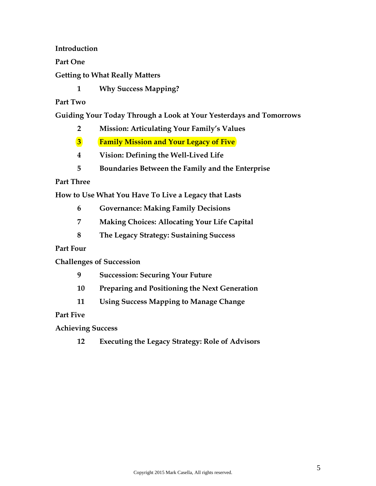**Introduction** 

#### **Part One**

#### **Getting to What Really Matters**

**1 Why Success Mapping?** 

#### **Part Two**

**Guiding Your Today Through a Look at Your Yesterdays and Tomorrows** 

- **2 Mission: Articulating Your Family's Values**
- **3 Family Mission and Your Legacy of Five**
- **4 Vision: Defining the Well-Lived Life**
- **5 Boundaries Between the Family and the Enterprise**

#### **Part Three**

**How to Use What You Have To Live a Legacy that Lasts** 

- **6 Governance: Making Family Decisions**
- **7 Making Choices: Allocating Your Life Capital**
- **8 The Legacy Strategy: Sustaining Success**

#### **Part Four**

**Challenges of Succession** 

- **9 Succession: Securing Your Future**
- **10 Preparing and Positioning the Next Generation**
- **11 Using Success Mapping to Manage Change**

#### **Part Five**

#### **Achieving Success**

**12 Executing the Legacy Strategy: Role of Advisors**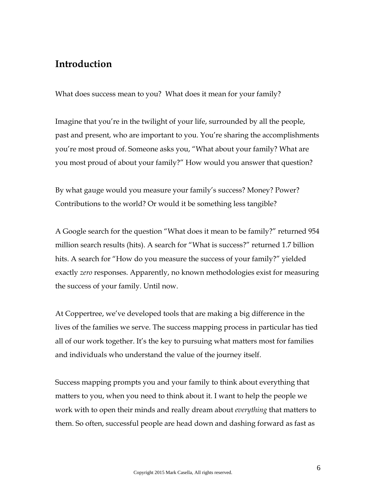## **Introduction**

What does success mean to you? What does it mean for your family?

Imagine that you're in the twilight of your life, surrounded by all the people, past and present, who are important to you. You're sharing the accomplishments you're most proud of. Someone asks you, "What about your family? What are you most proud of about your family?" How would you answer that question?

By what gauge would you measure your family's success? Money? Power? Contributions to the world? Or would it be something less tangible?

A Google search for the question "What does it mean to be family?" returned 954 million search results (hits). A search for "What is success?" returned 1.7 billion hits. A search for "How do you measure the success of your family?" yielded exactly *zero* responses. Apparently, no known methodologies exist for measuring the success of your family. Until now.

At Coppertree, we've developed tools that are making a big difference in the lives of the families we serve. The success mapping process in particular has tied all of our work together. It's the key to pursuing what matters most for families and individuals who understand the value of the journey itself.

Success mapping prompts you and your family to think about everything that matters to you, when you need to think about it. I want to help the people we work with to open their minds and really dream about *everything* that matters to them. So often, successful people are head down and dashing forward as fast as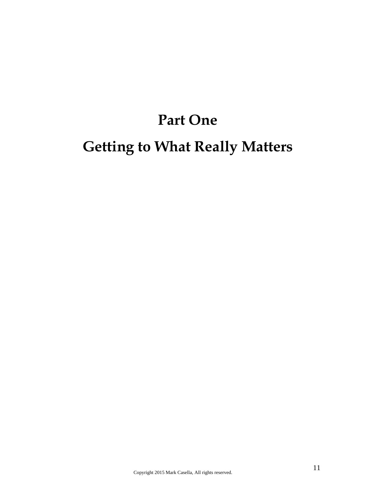# **Part One**

# **Getting to What Really Matters**

Copyright 2015 Mark Casella, All rights reserved.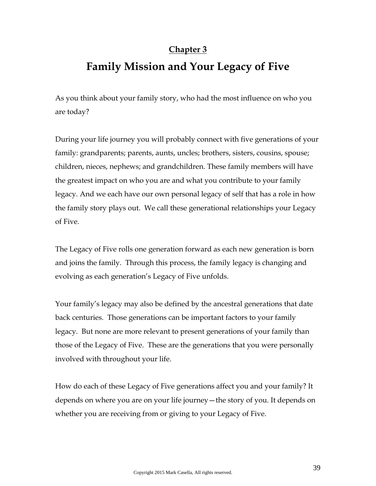#### **Chapter 3**

# **Family Mission and Your Legacy of Five**

As you think about your family story, who had the most influence on who you are today?

During your life journey you will probably connect with five generations of your family: grandparents; parents, aunts, uncles; brothers, sisters, cousins, spouse; children, nieces, nephews; and grandchildren. These family members will have the greatest impact on who you are and what you contribute to your family legacy. And we each have our own personal legacy of self that has a role in how the family story plays out. We call these generational relationships your Legacy of Five.

The Legacy of Five rolls one generation forward as each new generation is born and joins the family. Through this process, the family legacy is changing and evolving as each generation's Legacy of Five unfolds.

Your family's legacy may also be defined by the ancestral generations that date back centuries. Those generations can be important factors to your family legacy. But none are more relevant to present generations of your family than those of the Legacy of Five. These are the generations that you were personally involved with throughout your life.

How do each of these Legacy of Five generations affect you and your family? It depends on where you are on your life journey—the story of you. It depends on whether you are receiving from or giving to your Legacy of Five.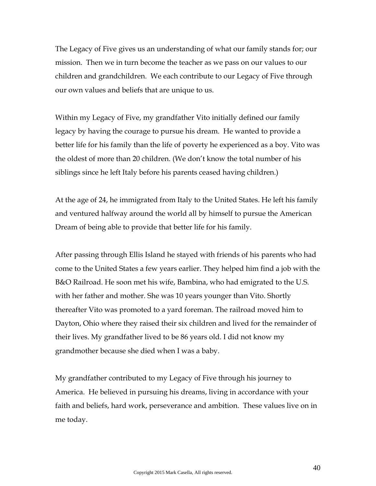The Legacy of Five gives us an understanding of what our family stands for; our mission. Then we in turn become the teacher as we pass on our values to our children and grandchildren. We each contribute to our Legacy of Five through our own values and beliefs that are unique to us.

Within my Legacy of Five, my grandfather Vito initially defined our family legacy by having the courage to pursue his dream. He wanted to provide a better life for his family than the life of poverty he experienced as a boy. Vito was the oldest of more than 20 children. (We don't know the total number of his siblings since he left Italy before his parents ceased having children.)

At the age of 24, he immigrated from Italy to the United States. He left his family and ventured halfway around the world all by himself to pursue the American Dream of being able to provide that better life for his family.

After passing through Ellis Island he stayed with friends of his parents who had come to the United States a few years earlier. They helped him find a job with the B&O Railroad. He soon met his wife, Bambina, who had emigrated to the U.S. with her father and mother. She was 10 years younger than Vito. Shortly thereafter Vito was promoted to a yard foreman. The railroad moved him to Dayton, Ohio where they raised their six children and lived for the remainder of their lives. My grandfather lived to be 86 years old. I did not know my grandmother because she died when I was a baby.

My grandfather contributed to my Legacy of Five through his journey to America. He believed in pursuing his dreams, living in accordance with your faith and beliefs, hard work, perseverance and ambition. These values live on in me today.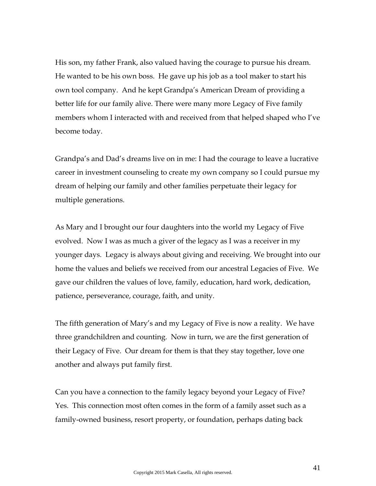His son, my father Frank, also valued having the courage to pursue his dream. He wanted to be his own boss. He gave up his job as a tool maker to start his own tool company. And he kept Grandpa's American Dream of providing a better life for our family alive. There were many more Legacy of Five family members whom I interacted with and received from that helped shaped who I've become today.

Grandpa's and Dad's dreams live on in me: I had the courage to leave a lucrative career in investment counseling to create my own company so I could pursue my dream of helping our family and other families perpetuate their legacy for multiple generations.

As Mary and I brought our four daughters into the world my Legacy of Five evolved. Now I was as much a giver of the legacy as I was a receiver in my younger days. Legacy is always about giving and receiving. We brought into our home the values and beliefs we received from our ancestral Legacies of Five. We gave our children the values of love, family, education, hard work, dedication, patience, perseverance, courage, faith, and unity.

The fifth generation of Mary's and my Legacy of Five is now a reality. We have three grandchildren and counting. Now in turn, we are the first generation of their Legacy of Five. Our dream for them is that they stay together, love one another and always put family first.

Can you have a connection to the family legacy beyond your Legacy of Five? Yes. This connection most often comes in the form of a family asset such as a family-owned business, resort property, or foundation, perhaps dating back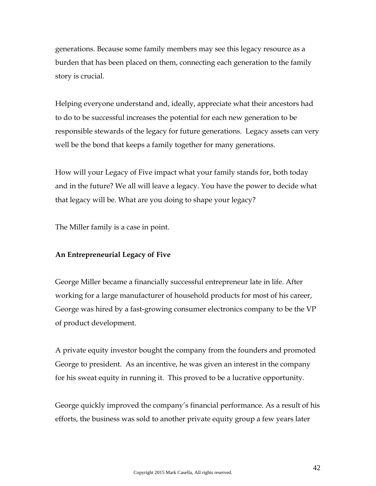generations. Because some family members may see this legacy resource as a burden that has been placed on them, connecting each generation to the family story is crucial.

Helping everyone understand and, ideally, appreciate what their ancestors had to do to be successful increases the potential for each new generation to be responsible stewards of the legacy for future generations. Legacy assets can very well be the bond that keeps a family together for many generations.

How will your Legacy of Five impact what your family stands for, both today and in the future? We all will leave a legacy. You have the power to decide what that legacy will be. What are you doing to shape your legacy?

The Miller family is a case in point.

#### **An Entrepreneurial Legacy of Five**

George Miller became a financially successful entrepreneur late in life. After working for a large manufacturer of household products for most of his career, George was hired by a fast-growing consumer electronics company to be the VP of product development.

A private equity investor bought the company from the founders and promoted George to president. As an incentive, he was given an interest in the company for his sweat equity in running it. This proved to be a lucrative opportunity.

George quickly improved the company's financial performance. As a result of his efforts, the business was sold to another private equity group a few years later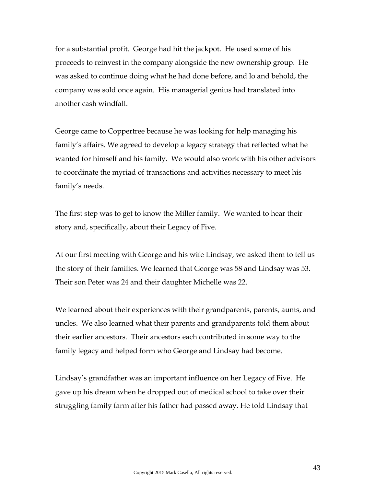for a substantial profit. George had hit the jackpot. He used some of his proceeds to reinvest in the company alongside the new ownership group. He was asked to continue doing what he had done before, and lo and behold, the company was sold once again. His managerial genius had translated into another cash windfall.

George came to Coppertree because he was looking for help managing his family's affairs. We agreed to develop a legacy strategy that reflected what he wanted for himself and his family. We would also work with his other advisors to coordinate the myriad of transactions and activities necessary to meet his family's needs.

The first step was to get to know the Miller family. We wanted to hear their story and, specifically, about their Legacy of Five.

At our first meeting with George and his wife Lindsay, we asked them to tell us the story of their families. We learned that George was 58 and Lindsay was 53. Their son Peter was 24 and their daughter Michelle was 22.

We learned about their experiences with their grandparents, parents, aunts, and uncles. We also learned what their parents and grandparents told them about their earlier ancestors. Their ancestors each contributed in some way to the family legacy and helped form who George and Lindsay had become.

Lindsay's grandfather was an important influence on her Legacy of Five. He gave up his dream when he dropped out of medical school to take over their struggling family farm after his father had passed away. He told Lindsay that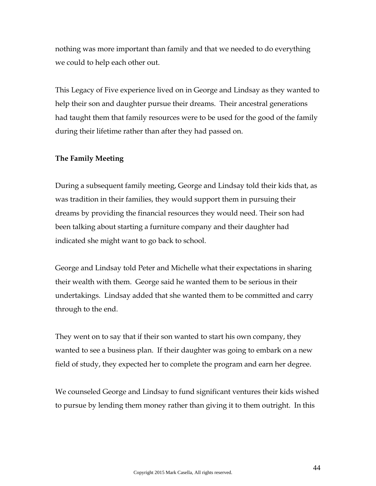nothing was more important than family and that we needed to do everything we could to help each other out.

This Legacy of Five experience lived on in George and Lindsay as they wanted to help their son and daughter pursue their dreams. Their ancestral generations had taught them that family resources were to be used for the good of the family during their lifetime rather than after they had passed on.

#### **The Family Meeting**

During a subsequent family meeting, George and Lindsay told their kids that, as was tradition in their families, they would support them in pursuing their dreams by providing the financial resources they would need. Their son had been talking about starting a furniture company and their daughter had indicated she might want to go back to school.

George and Lindsay told Peter and Michelle what their expectations in sharing their wealth with them. George said he wanted them to be serious in their undertakings. Lindsay added that she wanted them to be committed and carry through to the end.

They went on to say that if their son wanted to start his own company, they wanted to see a business plan. If their daughter was going to embark on a new field of study, they expected her to complete the program and earn her degree.

We counseled George and Lindsay to fund significant ventures their kids wished to pursue by lending them money rather than giving it to them outright. In this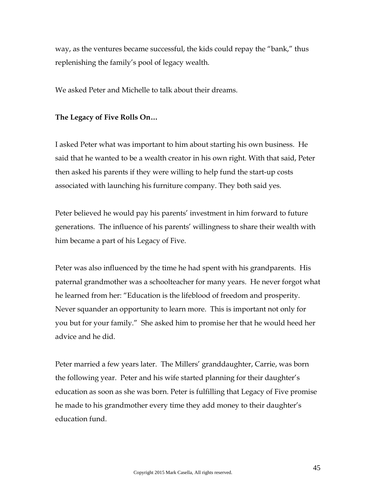way, as the ventures became successful, the kids could repay the "bank," thus replenishing the family's pool of legacy wealth.

We asked Peter and Michelle to talk about their dreams.

#### **The Legacy of Five Rolls On…**

I asked Peter what was important to him about starting his own business. He said that he wanted to be a wealth creator in his own right. With that said, Peter then asked his parents if they were willing to help fund the start-up costs associated with launching his furniture company. They both said yes.

Peter believed he would pay his parents' investment in him forward to future generations. The influence of his parents' willingness to share their wealth with him became a part of his Legacy of Five.

Peter was also influenced by the time he had spent with his grandparents. His paternal grandmother was a schoolteacher for many years. He never forgot what he learned from her: "Education is the lifeblood of freedom and prosperity. Never squander an opportunity to learn more. This is important not only for you but for your family." She asked him to promise her that he would heed her advice and he did.

Peter married a few years later. The Millers' granddaughter, Carrie, was born the following year. Peter and his wife started planning for their daughter's education as soon as she was born. Peter is fulfilling that Legacy of Five promise he made to his grandmother every time they add money to their daughter's education fund.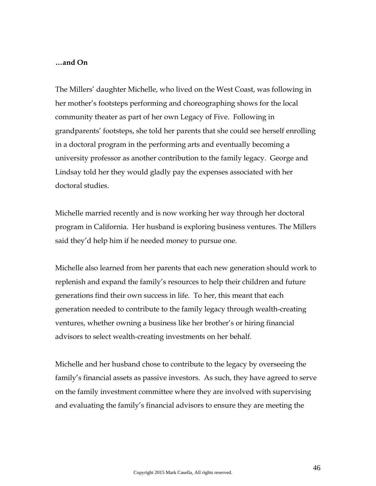#### **…and On**

The Millers' daughter Michelle, who lived on the West Coast, was following in her mother's footsteps performing and choreographing shows for the local community theater as part of her own Legacy of Five. Following in grandparents' footsteps, she told her parents that she could see herself enrolling in a doctoral program in the performing arts and eventually becoming a university professor as another contribution to the family legacy. George and Lindsay told her they would gladly pay the expenses associated with her doctoral studies.

Michelle married recently and is now working her way through her doctoral program in California. Her husband is exploring business ventures. The Millers said they'd help him if he needed money to pursue one.

Michelle also learned from her parents that each new generation should work to replenish and expand the family's resources to help their children and future generations find their own success in life. To her, this meant that each generation needed to contribute to the family legacy through wealth-creating ventures, whether owning a business like her brother's or hiring financial advisors to select wealth-creating investments on her behalf.

Michelle and her husband chose to contribute to the legacy by overseeing the family's financial assets as passive investors. As such, they have agreed to serve on the family investment committee where they are involved with supervising and evaluating the family's financial advisors to ensure they are meeting the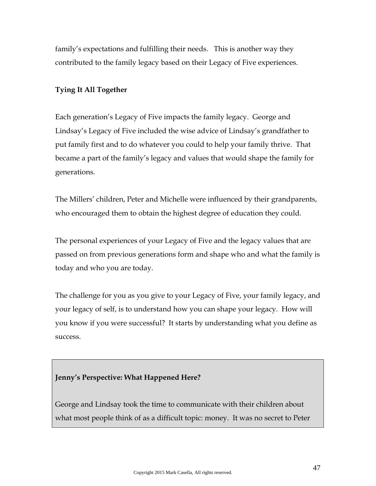family's expectations and fulfilling their needs. This is another way they contributed to the family legacy based on their Legacy of Five experiences.

#### **Tying It All Together**

Each generation's Legacy of Five impacts the family legacy. George and Lindsay's Legacy of Five included the wise advice of Lindsay's grandfather to put family first and to do whatever you could to help your family thrive. That became a part of the family's legacy and values that would shape the family for generations.

The Millers' children, Peter and Michelle were influenced by their grandparents, who encouraged them to obtain the highest degree of education they could.

The personal experiences of your Legacy of Five and the legacy values that are passed on from previous generations form and shape who and what the family is today and who you are today.

The challenge for you as you give to your Legacy of Five, your family legacy, and your legacy of self, is to understand how you can shape your legacy. How will you know if you were successful? It starts by understanding what you define as success.

#### **Jenny's Perspective: What Happened Here?**

George and Lindsay took the time to communicate with their children about what most people think of as a difficult topic: money. It was no secret to Peter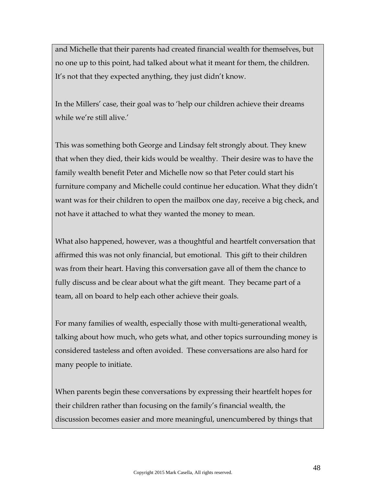and Michelle that their parents had created financial wealth for themselves, but no one up to this point, had talked about what it meant for them, the children. It's not that they expected anything, they just didn't know.

In the Millers' case, their goal was to 'help our children achieve their dreams while we're still alive.'

This was something both George and Lindsay felt strongly about. They knew that when they died, their kids would be wealthy. Their desire was to have the family wealth benefit Peter and Michelle now so that Peter could start his furniture company and Michelle could continue her education. What they didn't want was for their children to open the mailbox one day, receive a big check, and not have it attached to what they wanted the money to mean.

What also happened, however, was a thoughtful and heartfelt conversation that affirmed this was not only financial, but emotional. This gift to their children was from their heart. Having this conversation gave all of them the chance to fully discuss and be clear about what the gift meant. They became part of a team, all on board to help each other achieve their goals.

For many families of wealth, especially those with multi-generational wealth, talking about how much, who gets what, and other topics surrounding money is considered tasteless and often avoided. These conversations are also hard for many people to initiate.

When parents begin these conversations by expressing their heartfelt hopes for their children rather than focusing on the family's financial wealth, the discussion becomes easier and more meaningful, unencumbered by things that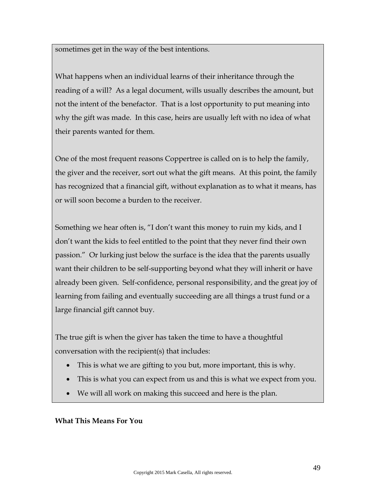sometimes get in the way of the best intentions.

What happens when an individual learns of their inheritance through the reading of a will? As a legal document, wills usually describes the amount, but not the intent of the benefactor. That is a lost opportunity to put meaning into why the gift was made. In this case, heirs are usually left with no idea of what their parents wanted for them.

One of the most frequent reasons Coppertree is called on is to help the family, the giver and the receiver, sort out what the gift means. At this point, the family has recognized that a financial gift, without explanation as to what it means, has or will soon become a burden to the receiver.

Something we hear often is, "I don't want this money to ruin my kids, and I don't want the kids to feel entitled to the point that they never find their own passion." Or lurking just below the surface is the idea that the parents usually want their children to be self-supporting beyond what they will inherit or have already been given. Self-confidence, personal responsibility, and the great joy of learning from failing and eventually succeeding are all things a trust fund or a large financial gift cannot buy.

The true gift is when the giver has taken the time to have a thoughtful conversation with the recipient(s) that includes:

- This is what we are gifting to you but, more important, this is why.
- This is what you can expect from us and this is what we expect from you.
- We will all work on making this succeed and here is the plan.

#### **What This Means For You**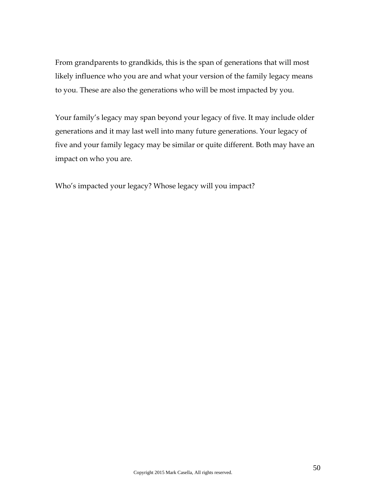From grandparents to grandkids, this is the span of generations that will most likely influence who you are and what your version of the family legacy means to you. These are also the generations who will be most impacted by you.

Your family's legacy may span beyond your legacy of five. It may include older generations and it may last well into many future generations. Your legacy of five and your family legacy may be similar or quite different. Both may have an impact on who you are.

Who's impacted your legacy? Whose legacy will you impact?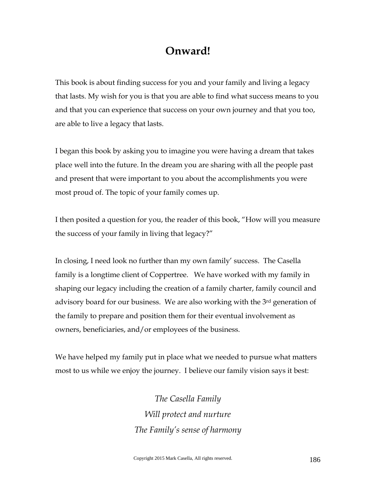## **Onward!**

This book is about finding success for you and your family and living a legacy that lasts. My wish for you is that you are able to find what success means to you and that you can experience that success on your own journey and that you too, are able to live a legacy that lasts.

I began this book by asking you to imagine you were having a dream that takes place well into the future. In the dream you are sharing with all the people past and present that were important to you about the accomplishments you were most proud of. The topic of your family comes up.

I then posited a question for you, the reader of this book, "How will you measure the success of your family in living that legacy?"

In closing, I need look no further than my own family' success. The Casella family is a longtime client of Coppertree. We have worked with my family in shaping our legacy including the creation of a family charter, family council and advisory board for our business. We are also working with the 3<sup>rd</sup> generation of the family to prepare and position them for their eventual involvement as owners, beneficiaries, and/or employees of the business.

We have helped my family put in place what we needed to pursue what matters most to us while we enjoy the journey. I believe our family vision says it best:

> *The Casella Family Will protect and nurture The Family's sense of harmony*